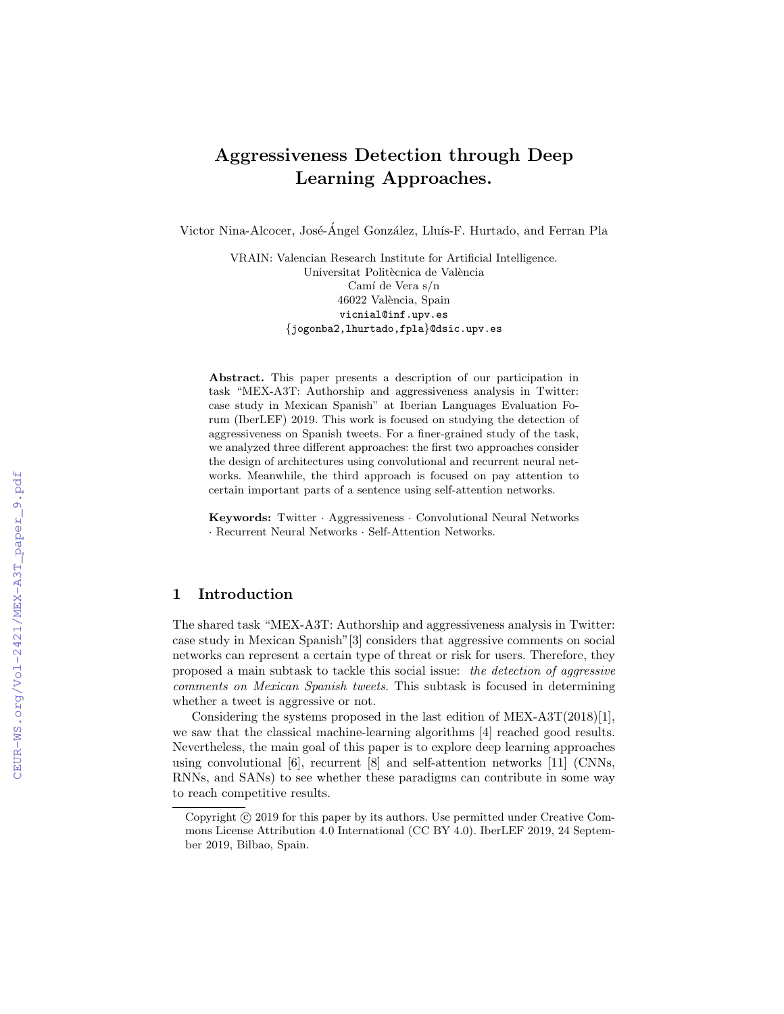# Aggressiveness Detection through Deep Learning Approaches.

Victor Nina-Alcocer, José-Ángel González, Lluís-F. Hurtado, and Ferran Pla

VRAIN: Valencian Research Institute for Artificial Intelligence. Universitat Politècnica de València Camí de Vera s/n 46022 València, Spain vicnial@inf.upv.es {jogonba2,lhurtado,fpla}@dsic.upv.es

Abstract. This paper presents a description of our participation in task "MEX-A3T: Authorship and aggressiveness analysis in Twitter: case study in Mexican Spanish" at Iberian Languages Evaluation Forum (IberLEF) 2019. This work is focused on studying the detection of aggressiveness on Spanish tweets. For a finer-grained study of the task, we analyzed three different approaches: the first two approaches consider the design of architectures using convolutional and recurrent neural networks. Meanwhile, the third approach is focused on pay attention to certain important parts of a sentence using self-attention networks.

Keywords: Twitter · Aggressiveness · Convolutional Neural Networks · Recurrent Neural Networks · Self-Attention Networks.

## 1 Introduction

The shared task "MEX-A3T: Authorship and aggressiveness analysis in Twitter: case study in Mexican Spanish"[3] considers that aggressive comments on social networks can represent a certain type of threat or risk for users. Therefore, they proposed a main subtask to tackle this social issue: the detection of aggressive comments on Mexican Spanish tweets. This subtask is focused in determining whether a tweet is aggressive or not.

Considering the systems proposed in the last edition of MEX-A3T(2018)[1], we saw that the classical machine-learning algorithms [4] reached good results. Nevertheless, the main goal of this paper is to explore deep learning approaches using convolutional [6], recurrent [8] and self-attention networks [11] (CNNs, RNNs, and SANs) to see whether these paradigms can contribute in some way to reach competitive results.

Copyright  $\odot$  2019 for this paper by its authors. Use permitted under Creative Commons License Attribution 4.0 International (CC BY 4.0). IberLEF 2019, 24 September 2019, Bilbao, Spain.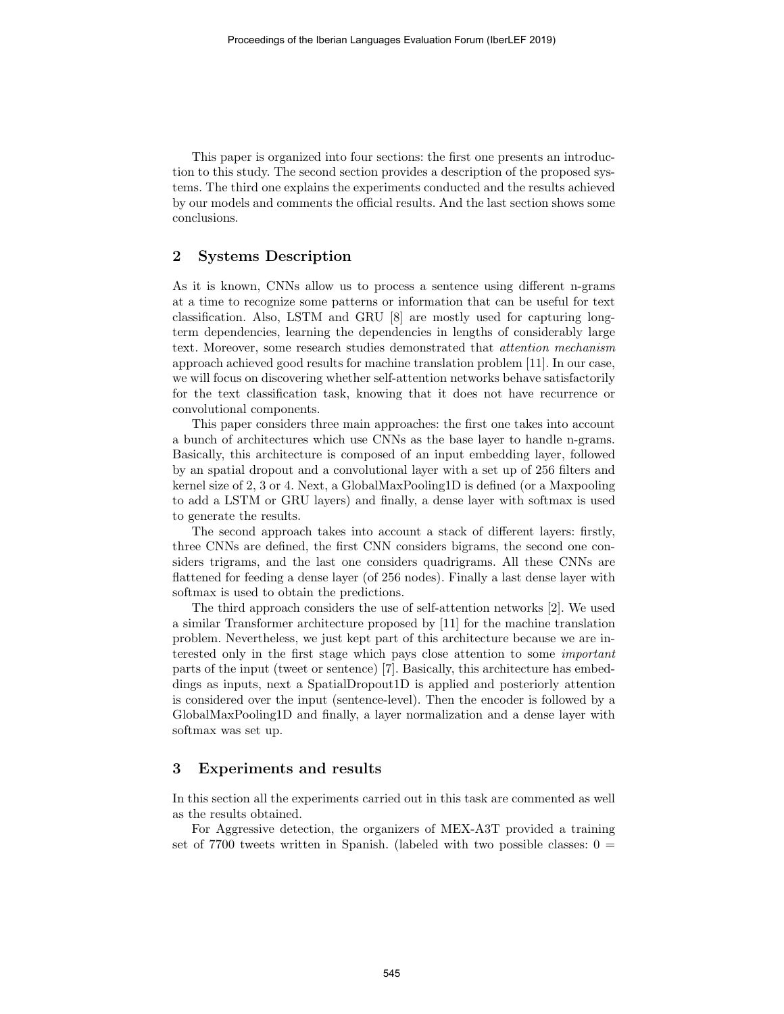This paper is organized into four sections: the first one presents an introduction to this study. The second section provides a description of the proposed systems. The third one explains the experiments conducted and the results achieved by our models and comments the official results. And the last section shows some conclusions.

## 2 Systems Description

As it is known, CNNs allow us to process a sentence using different n-grams at a time to recognize some patterns or information that can be useful for text classification. Also, LSTM and GRU [8] are mostly used for capturing longterm dependencies, learning the dependencies in lengths of considerably large text. Moreover, some research studies demonstrated that attention mechanism approach achieved good results for machine translation problem [11]. In our case, we will focus on discovering whether self-attention networks behave satisfactorily for the text classification task, knowing that it does not have recurrence or convolutional components.

This paper considers three main approaches: the first one takes into account a bunch of architectures which use CNNs as the base layer to handle n-grams. Basically, this architecture is composed of an input embedding layer, followed by an spatial dropout and a convolutional layer with a set up of 256 filters and kernel size of 2, 3 or 4. Next, a GlobalMaxPooling1D is defined (or a Maxpooling to add a LSTM or GRU layers) and finally, a dense layer with softmax is used to generate the results.

The second approach takes into account a stack of different layers: firstly, three CNNs are defined, the first CNN considers bigrams, the second one considers trigrams, and the last one considers quadrigrams. All these CNNs are flattened for feeding a dense layer (of 256 nodes). Finally a last dense layer with softmax is used to obtain the predictions.

The third approach considers the use of self-attention networks [2]. We used a similar Transformer architecture proposed by [11] for the machine translation problem. Nevertheless, we just kept part of this architecture because we are interested only in the first stage which pays close attention to some important parts of the input (tweet or sentence) [7]. Basically, this architecture has embeddings as inputs, next a SpatialDropout1D is applied and posteriorly attention is considered over the input (sentence-level). Then the encoder is followed by a GlobalMaxPooling1D and finally, a layer normalization and a dense layer with softmax was set up.

### 3 Experiments and results

In this section all the experiments carried out in this task are commented as well as the results obtained.

For Aggressive detection, the organizers of MEX-A3T provided a training set of 7700 tweets written in Spanish. (labeled with two possible classes:  $0 =$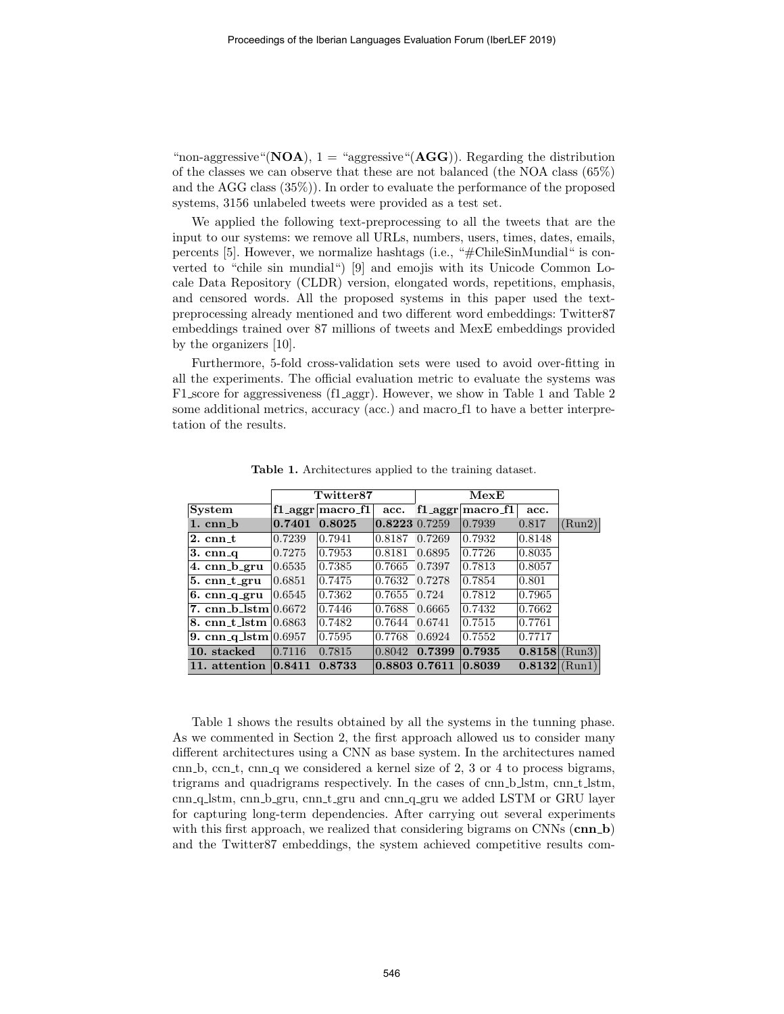"non-aggressive"( $\bf{NOA}$ ), 1 = "aggressive"( $\bf{AGG}$ )). Regarding the distribution of the classes we can observe that these are not balanced (the NOA class (65%) and the AGG class (35%)). In order to evaluate the performance of the proposed systems, 3156 unlabeled tweets were provided as a test set.

We applied the following text-preprocessing to all the tweets that are the input to our systems: we remove all URLs, numbers, users, times, dates, emails, percents [5]. However, we normalize hashtags (i.e., "#ChileSinMundial" is converted to "chile sin mundial") [9] and emojis with its Unicode Common Locale Data Repository (CLDR) version, elongated words, repetitions, emphasis, and censored words. All the proposed systems in this paper used the textpreprocessing already mentioned and two different word embeddings: Twitter87 embeddings trained over 87 millions of tweets and MexE embeddings provided by the organizers [10].

Furthermore, 5-fold cross-validation sets were used to avoid over-fitting in all the experiments. The official evaluation metric to evaluate the systems was F1 score for aggressiveness (f1 aggr). However, we show in Table 1 and Table 2 some additional metrics, accuracy (acc.) and macro f1 to have a better interpretation of the results.

|                                 |        | Twitter87            |               |        | ${\bf Mex}$          |                   |        |
|---------------------------------|--------|----------------------|---------------|--------|----------------------|-------------------|--------|
| System                          |        | $f1$ aggr macro $f1$ | acc.          |        | $f1$ aggr macro $f1$ | acc.              |        |
| $1.$ cnn $-b$                   | 0.7401 | 0.8025               | 0.8223 0.7259 |        | 0.7939               | 0.817             | (Run2) |
| $2.$ cnn_t                      | 0.7239 | 0.7941               | 0.8187        | 0.7269 | 0.7932               | 0.8148            |        |
| $3. \text{cm}$                  | 0.7275 | 0.7953               | 0.8181        | 0.6895 | $\vert 0.7726 \vert$ | 0.8035            |        |
| 4. cnn_b_gru                    | 0.6535 | 0.7385               | 0.7665        | 0.7397 | 0.7813               | 0.8057            |        |
| $5.$ cnn_t_gru                  | 0.6851 | 0.7475               | 0.7632        | 0.7278 | 0.7854               | 0.801             |        |
| $6. \text{cm}_{\text{q\_gru}}$  | 0.6545 | 0.7362               | 0.7655        | 0.724  | $ 0.7812\rangle$     | 0.7965            |        |
| 7. $cm_{\text{m-b}}$ stm 0.6672 |        | 0.7446               | 0.7688        | 0.6665 | $ 0.7432\rangle$     | 0.7662            |        |
| 8. cnn_t_lstm $ 0.6863\rangle$  |        | 0.7482               | 0.7644        | 0.6741 | 0.7515               | 0.7761            |        |
| 9. cnn_q_lstm $ 0.6957 $        |        | 0.7595               | 0.7768        | 0.6924 | 0.7552               | 0.7717            |        |
| 10. stacked                     | 0.7116 | 0.7815               | 0.8042        | 0.7399 | 0.7935               | $ 0.8158 $ (Run3) |        |
| 11. attention                   | 0.8411 | 0.8733               | 0.8803 0.7611 |        | 0.8039               | $ 0.8132 $ (Run1) |        |

Table 1. Architectures applied to the training dataset.

Table 1 shows the results obtained by all the systems in the tunning phase. As we commented in Section 2, the first approach allowed us to consider many different architectures using a CNN as base system. In the architectures named cnn b, ccn t, cnn q we considered a kernel size of  $2, 3$  or  $4$  to process bigrams, trigrams and quadrigrams respectively. In the cases of cnn b lstm, cnn t lstm, cnn q lstm, cnn b gru, cnn t gru and cnn q gru we added LSTM or GRU layer for capturing long-term dependencies. After carrying out several experiments with this first approach, we realized that considering bigrams on CNNs (cnn\_b) and the Twitter87 embeddings, the system achieved competitive results com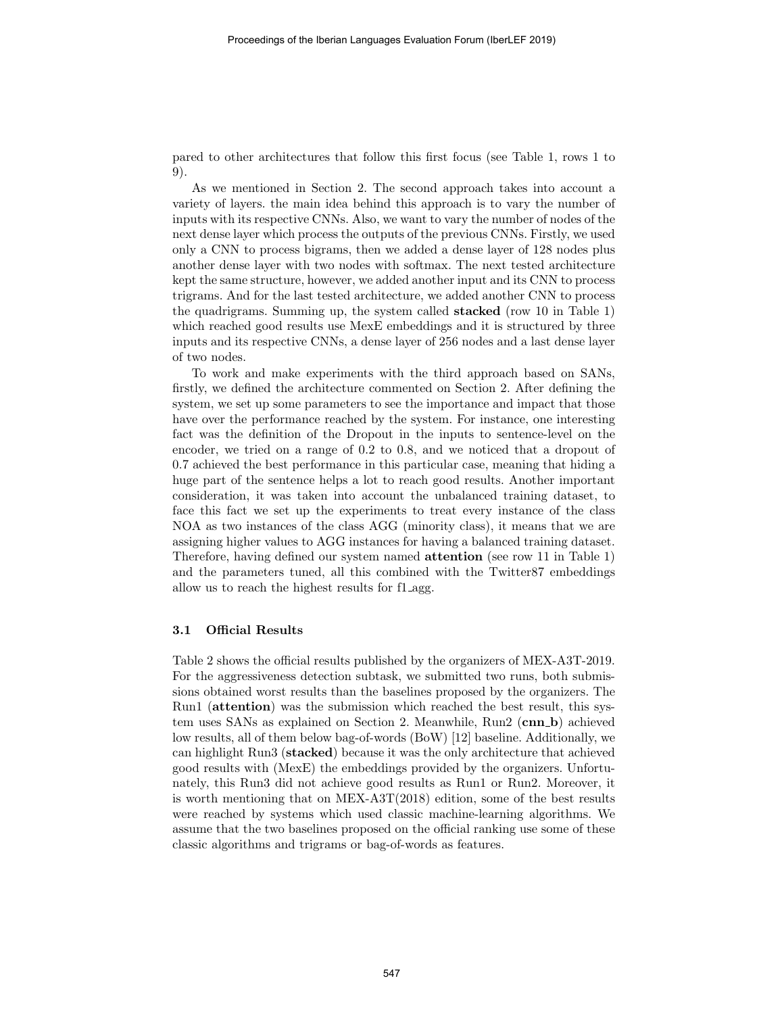pared to other architectures that follow this first focus (see Table 1, rows 1 to 9).

As we mentioned in Section 2. The second approach takes into account a variety of layers. the main idea behind this approach is to vary the number of inputs with its respective CNNs. Also, we want to vary the number of nodes of the next dense layer which process the outputs of the previous CNNs. Firstly, we used only a CNN to process bigrams, then we added a dense layer of 128 nodes plus another dense layer with two nodes with softmax. The next tested architecture kept the same structure, however, we added another input and its CNN to process trigrams. And for the last tested architecture, we added another CNN to process the quadrigrams. Summing up, the system called stacked (row 10 in Table 1) which reached good results use MexE embeddings and it is structured by three inputs and its respective CNNs, a dense layer of 256 nodes and a last dense layer of two nodes.

To work and make experiments with the third approach based on SANs, firstly, we defined the architecture commented on Section 2. After defining the system, we set up some parameters to see the importance and impact that those have over the performance reached by the system. For instance, one interesting fact was the definition of the Dropout in the inputs to sentence-level on the encoder, we tried on a range of 0.2 to 0.8, and we noticed that a dropout of 0.7 achieved the best performance in this particular case, meaning that hiding a huge part of the sentence helps a lot to reach good results. Another important consideration, it was taken into account the unbalanced training dataset, to face this fact we set up the experiments to treat every instance of the class NOA as two instances of the class AGG (minority class), it means that we are assigning higher values to AGG instances for having a balanced training dataset. Therefore, having defined our system named attention (see row 11 in Table 1) and the parameters tuned, all this combined with the Twitter87 embeddings allow us to reach the highest results for f1 agg.

#### 3.1 Official Results

Table 2 shows the official results published by the organizers of MEX-A3T-2019. For the aggressiveness detection subtask, we submitted two runs, both submissions obtained worst results than the baselines proposed by the organizers. The Run1 (attention) was the submission which reached the best result, this system uses SANs as explained on Section 2. Meanwhile, Run2 (cnn b) achieved low results, all of them below bag-of-words (BoW) [12] baseline. Additionally, we can highlight Run3 (stacked) because it was the only architecture that achieved good results with (MexE) the embeddings provided by the organizers. Unfortunately, this Run3 did not achieve good results as Run1 or Run2. Moreover, it is worth mentioning that on MEX-A3T(2018) edition, some of the best results were reached by systems which used classic machine-learning algorithms. We assume that the two baselines proposed on the official ranking use some of these classic algorithms and trigrams or bag-of-words as features.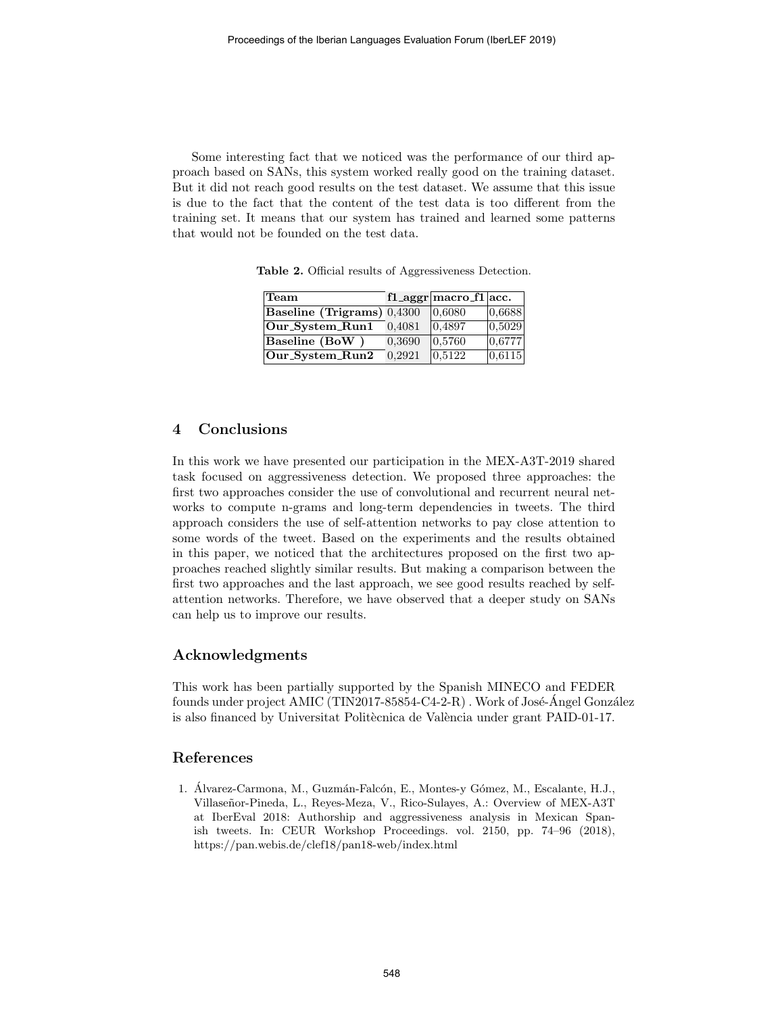Some interesting fact that we noticed was the performance of our third approach based on SANs, this system worked really good on the training dataset. But it did not reach good results on the test dataset. We assume that this issue is due to the fact that the content of the test data is too different from the training set. It means that our system has trained and learned some patterns that would not be founded on the test data.

| Team                                               |        | $\vert$ f1_aggr $\vert$ macro_f1 $\vert$ acc. |        |
|----------------------------------------------------|--------|-----------------------------------------------|--------|
| $\vert$ Baseline (Trigrams) $\vert 0,4300 \rangle$ |        | 0,6080                                        | 0,6688 |
| $ Our_S$ ystem_ $Run1$                             | 0.4081 | 0,4897                                        | 0,5029 |
| $ $ Baseline (BoW $ $                              | 0.3690 | 0,5760                                        | 0,6777 |
| $ Our System_Run2$                                 | 0.2921 | 0,5122                                        | 0,6115 |

Table 2. Official results of Aggressiveness Detection.

## 4 Conclusions

In this work we have presented our participation in the MEX-A3T-2019 shared task focused on aggressiveness detection. We proposed three approaches: the first two approaches consider the use of convolutional and recurrent neural networks to compute n-grams and long-term dependencies in tweets. The third approach considers the use of self-attention networks to pay close attention to some words of the tweet. Based on the experiments and the results obtained in this paper, we noticed that the architectures proposed on the first two approaches reached slightly similar results. But making a comparison between the first two approaches and the last approach, we see good results reached by selfattention networks. Therefore, we have observed that a deeper study on SANs can help us to improve our results.

## Acknowledgments

This work has been partially supported by the Spanish MINECO and FEDER founds under project AMIC (TIN2017-85854-C4-2-R). Work of José-Angel González is also financed by Universitat Politècnica de València under grant PAID-01-17.

## References

1. Álvarez-Carmona, M., Guzmán-Falcón, E., Montes-y Gómez, M., Escalante, H.J., Villaseñor-Pineda, L., Reyes-Meza, V., Rico-Sulayes, A.: Overview of MEX-A3T at IberEval 2018: Authorship and aggressiveness analysis in Mexican Spanish tweets. In: CEUR Workshop Proceedings. vol. 2150, pp. 74–96 (2018), https://pan.webis.de/clef18/pan18-web/index.html